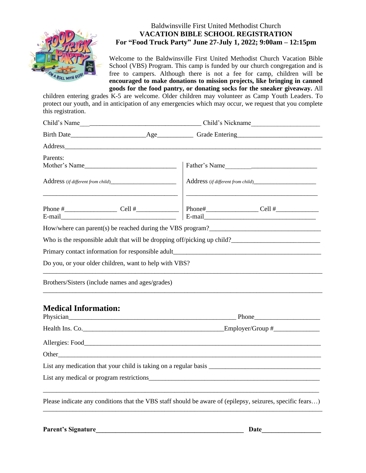

## Baldwinsville First United Methodist Church **VACATION BIBLE SCHOOL REGISTRATION For "Food Truck Party" June 27-July 1, 2022; 9:00am – 12:15pm**

Welcome to the Baldwinsville First United Methodist Church Vacation Bible School (VBS) Program. This camp is funded by our church congregation and is free to campers. Although there is not a fee for camp, children will be **encouraged to make donations to mission projects, like bringing in canned goods for the food pantry, or donating socks for the sneaker giveaway.** All

children entering grades K-5 are welcome. Older children may volunteer as Camp Youth Leaders. To protect our youth, and in anticipation of any emergencies which may occur, we request that you complete this registration.

| Parents:                                                                                                  |                                                               | Father's Name                                             |
|-----------------------------------------------------------------------------------------------------------|---------------------------------------------------------------|-----------------------------------------------------------|
|                                                                                                           | <u> 1980 - Johann Barn, mars an t-Amerikaansk politiker (</u> | Address (if different from child)________________________ |
|                                                                                                           |                                                               |                                                           |
|                                                                                                           |                                                               |                                                           |
|                                                                                                           |                                                               |                                                           |
|                                                                                                           |                                                               |                                                           |
| Do you, or your older children, want to help with VBS?                                                    |                                                               |                                                           |
| Brothers/Sisters (include names and ages/grades)                                                          |                                                               |                                                           |
| <b>Medical Information:</b>                                                                               |                                                               |                                                           |
|                                                                                                           | Health Ins. Co.                                               |                                                           |
|                                                                                                           |                                                               |                                                           |
|                                                                                                           |                                                               |                                                           |
|                                                                                                           |                                                               |                                                           |
|                                                                                                           |                                                               |                                                           |
|                                                                                                           |                                                               |                                                           |
| Please indicate any conditions that the VBS staff should be aware of (epilepsy, seizures, specific fears) |                                                               |                                                           |

Parent's Signature **Date**